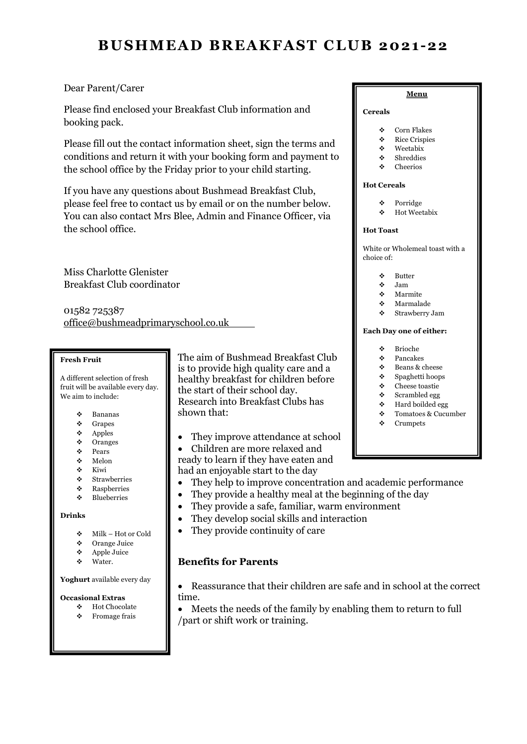# **BUSHMEAD BREAKFAST C LUB 2021-22**

#### Dear Parent/Carer

Please find enclosed your Breakfast Club information and booking pack.

Please fill out the contact information sheet, sign the terms and conditions and return it with your booking form and payment to the school office by the Friday prior to your child starting.

If you have any questions about Bushmead Breakfast Club, please feel free to contact us by email or on the number below. You can also contact Mrs Blee, Admin and Finance Officer, via the school office.

Miss Charlotte Glenister Breakfast Club coordinator

01582 725387 [office@bushmeadprimaryschool.co.uk](mailto:office@bushmeadprimaryschool.co.uk)

#### **Fresh Fruit**

A different selection of fresh fruit will be available every day. We aim to include:

- Bananas
- ❖ Grapes
- $\triangleleft$  Apples
- $\div$  Oranges
- Pears Melon
- $\bullet$  Kiwi
- 
- Strawberries Raspberries
- Blueberries

#### **Drinks**

- $\bullet$  Milk Hot or Cold
- Orange Juice
- Apple Juice
- $\div$  Water.

#### **Yoghurt** available every day

#### **Occasional Extras**

- Hot Chocolate
- Fromage frais

The aim of Bushmead Breakfast Club is to provide high quality care and a healthy breakfast for children before the start of their school day. Research into Breakfast Clubs has shown that:

- They improve attendance at school
- Children are more relaxed and

- They help to improve concentration and academic performance
- They provide a healthy meal at the beginning of the day
- They provide a safe, familiar, warm environment
- They develop social skills and interaction
- They provide continuity of care

#### **Benefits for Parents**

 Reassurance that their children are safe and in school at the correct time.

 Meets the needs of the family by enabling them to return to full /part or shift work or training.

#### **Menu**

# **Cereals**

- Corn Flakes ❖ Rice Crispies
- Weetabix
- Shreddies
- Cheerios

#### **Hot Cereals**

- Porridge
- Hot Weetabix

#### **Hot Toast**

White or Wholemeal toast with a choice of:

- Butter
- Jam
- Marmite
- Marmalade
- Strawberry Jam

#### **Each Day one of either:**

- Brioche
- Pancakes
- Beans & cheese
- Spaghetti hoops
- Cheese toastie  $\div$  Scrambled egg
- $\div$  Hard boilded egg
- Tomatoes & Cucumber
- ❖ Crumpets
- 
- ready to learn if they have eaten and

had an enjoyable start to the day

- 
- 
- 
-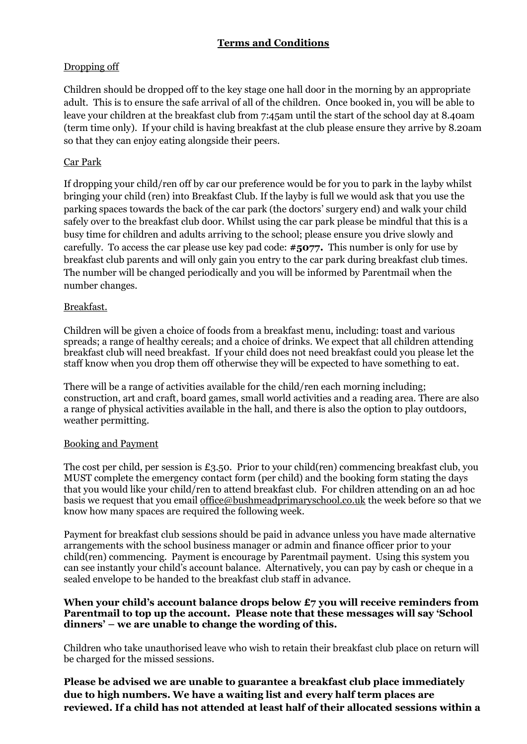## **Terms and Conditions**

## Dropping off

Children should be dropped off to the key stage one hall door in the morning by an appropriate adult. This is to ensure the safe arrival of all of the children. Once booked in, you will be able to leave your children at the breakfast club from 7:45am until the start of the school day at 8.40am (term time only). If your child is having breakfast at the club please ensure they arrive by 8.20am so that they can enjoy eating alongside their peers.

## Car Park

If dropping your child/ren off by car our preference would be for you to park in the layby whilst bringing your child (ren) into Breakfast Club. If the layby is full we would ask that you use the parking spaces towards the back of the car park (the doctors' surgery end) and walk your child safely over to the breakfast club door. Whilst using the car park please be mindful that this is a busy time for children and adults arriving to the school; please ensure you drive slowly and carefully. To access the car please use key pad code: **#5077.** This number is only for use by breakfast club parents and will only gain you entry to the car park during breakfast club times. The number will be changed periodically and you will be informed by Parentmail when the number changes.

## Breakfast.

Children will be given a choice of foods from a breakfast menu, including: toast and various spreads; a range of healthy cereals; and a choice of drinks. We expect that all children attending breakfast club will need breakfast. If your child does not need breakfast could you please let the staff know when you drop them off otherwise they will be expected to have something to eat.

There will be a range of activities available for the child/ren each morning including; construction, art and craft, board games, small world activities and a reading area. There are also a range of physical activities available in the hall, and there is also the option to play outdoors, weather permitting.

#### Booking and Payment

The cost per child, per session is £3.50. Prior to your child(ren) commencing breakfast club, you MUST complete the emergency contact form (per child) and the booking form stating the days that you would like your child/ren to attend breakfast club. For children attending on an ad hoc basis we request that you email [office@bushmeadprimaryschool.co.uk](mailto:office@bushmeadprimaryschool.co.uk) the week before so that we know how many spaces are required the following week.

Payment for breakfast club sessions should be paid in advance unless you have made alternative arrangements with the school business manager or admin and finance officer prior to your child(ren) commencing. Payment is encourage by Parentmail payment. Using this system you can see instantly your child's account balance. Alternatively, you can pay by cash or cheque in a sealed envelope to be handed to the breakfast club staff in advance.

#### **When your child's account balance drops below £7 you will receive reminders from Parentmail to top up the account. Please note that these messages will say 'School dinners' – we are unable to change the wording of this.**

Children who take unauthorised leave who wish to retain their breakfast club place on return will be charged for the missed sessions.

**Please be advised we are unable to guarantee a breakfast club place immediately due to high numbers. We have a waiting list and every half term places are reviewed. If a child has not attended at least half of their allocated sessions within a**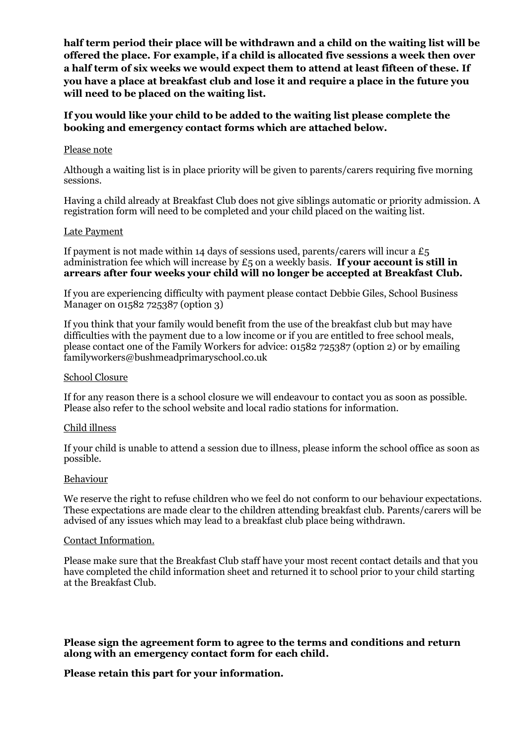**half term period their place will be withdrawn and a child on the waiting list will be offered the place. For example, if a child is allocated five sessions a week then over a half term of six weeks we would expect them to attend at least fifteen of these. If you have a place at breakfast club and lose it and require a place in the future you will need to be placed on the waiting list.** 

#### **If you would like your child to be added to the waiting list please complete the booking and emergency contact forms which are attached below.**

#### Please note

Although a waiting list is in place priority will be given to parents/carers requiring five morning sessions.

Having a child already at Breakfast Club does not give siblings automatic or priority admission. A registration form will need to be completed and your child placed on the waiting list.

#### Late Payment

If payment is not made within 14 days of sessions used, parents/carers will incur a  $E_5$ administration fee which will increase by £5 on a weekly basis. **If your account is still in arrears after four weeks your child will no longer be accepted at Breakfast Club.**

If you are experiencing difficulty with payment please contact Debbie Giles, School Business Manager on 01582 725387 (option 3)

If you think that your family would benefit from the use of the breakfast club but may have difficulties with the payment due to a low income or if you are entitled to free school meals, please contact one of the Family Workers for advice: 01582 725387 (option 2) or by emailing familyworkers@bushmeadprimaryschool.co.uk

#### School Closure

If for any reason there is a school closure we will endeavour to contact you as soon as possible. Please also refer to the school website and local radio stations for information.

#### Child illness

If your child is unable to attend a session due to illness, please inform the school office as soon as possible.

#### Behaviour

We reserve the right to refuse children who we feel do not conform to our behaviour expectations. These expectations are made clear to the children attending breakfast club. Parents/carers will be advised of any issues which may lead to a breakfast club place being withdrawn.

#### Contact Information.

Please make sure that the Breakfast Club staff have your most recent contact details and that you have completed the child information sheet and returned it to school prior to your child starting at the Breakfast Club.

**Please sign the agreement form to agree to the terms and conditions and return along with an emergency contact form for each child.** 

#### **Please retain this part for your information.**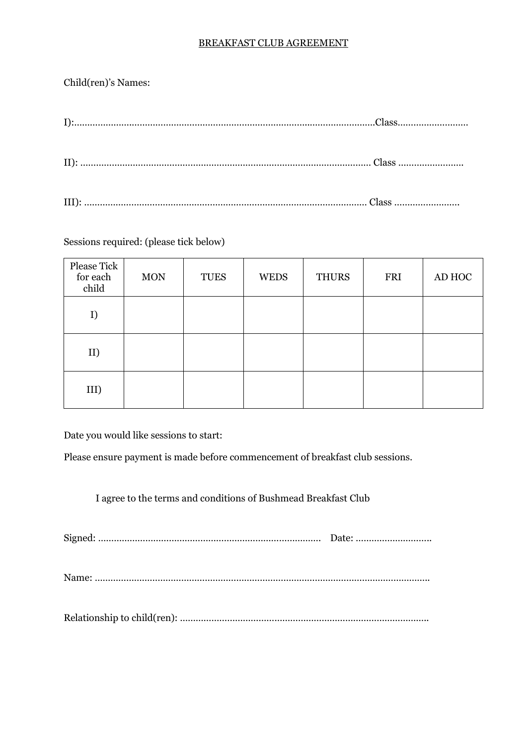### BREAKFAST CLUB AGREEMENT

## Child(ren)'s Names:

## Sessions required: (please tick below)

| Please Tick<br>for each<br>child | <b>MON</b> | <b>TUES</b> | <b>WEDS</b> | <b>THURS</b> | FRI | AD HOC |
|----------------------------------|------------|-------------|-------------|--------------|-----|--------|
| I)                               |            |             |             |              |     |        |
| II)                              |            |             |             |              |     |        |
| III)                             |            |             |             |              |     |        |

Date you would like sessions to start:

Please ensure payment is made before commencement of breakfast club sessions.

I agree to the terms and conditions of Bushmead Breakfast Club

Signed: …………………………………………………………………………. Date: ………………………..

Name: ………………………………………………………………………………………………………………..

Relationship to child(ren): …………………………………………………………………………………..